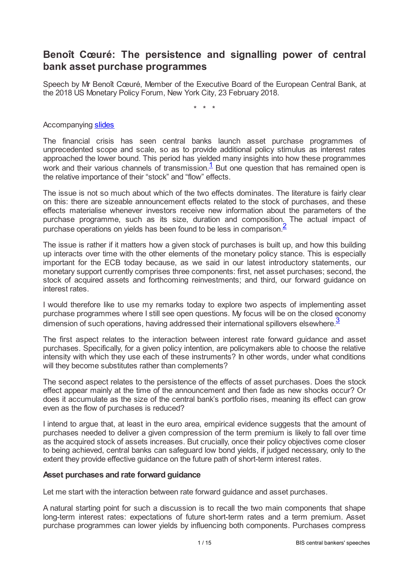## **Benoît Cœuré: The persistence and signalling power of central bank asset purchase programmes**

Speech by Mr Benoît Cœuré, Member of the Executive Board of the European Central Bank, at the 2018 US Monetary Policy Forum, New York City, 23 February 2018.

<span id="page-0-2"></span><span id="page-0-1"></span><span id="page-0-0"></span>\* \* \*

#### Accompanying [slides](www.bis.org/review/r180315a_slides.pdf)

The financial crisis has seen central banks launch asset purchase programmes of unprecedented scope and scale, so as to provide additional policy stimulus as interest rates approached the lower bound. This period has yielded many insights into how these programmes work and their various channels of transmission. $\frac{1}{1}$  $\frac{1}{1}$  $\frac{1}{1}$  But one question that has remained open is the relative importance of their "stock" and "flow" effects.

The issue is not so much about which of the two effects dominates. The literature is fairly clear on this: there are sizeable announcement effects related to the stock of purchases, and these effects materialise whenever investors receive new information about the parameters of the purchase programme, such as its size, duration and composition. The actual impact of purchase operations on yields has been found to be less in comparison. [2](#page-14-1)

The issue is rather if it matters how a given stock of purchases is built up, and how this building up interacts over time with the other elements of the monetary policy stance. This is especially important for the ECB today because, as we said in our latest introductory statements, our monetary support currently comprises three components: first, net asset purchases; second, the stock of acquired assets and forthcoming reinvestments; and third, our forward guidance on interest rates.

I would therefore like to use my remarks today to explore two aspects of implementing asset purchase programmes where I still see open questions. My focus will be on the closed economy dimension of such operations, having addressed their international spillovers elsewhere.<sup>[3](#page-14-2)</sup>

The first aspect relates to the interaction between interest rate forward guidance and asset purchases. Specifically, for a given policy intention, are policymakers able to choose the relative intensity with which they use each of these instruments? In other words, under what conditions will they become substitutes rather than complements?

The second aspect relates to the persistence of the effects of asset purchases. Does the stock effect appear mainly at the time of the announcement and then fade as new shocks occur? Or does it accumulate as the size of the central bank's portfolio rises, meaning its effect can grow even as the flow of purchases is reduced?

I intend to argue that, at least in the euro area, empirical evidence suggests that the amount of purchases needed to deliver a given compression of the term premium is likely to fall over time as the acquired stock of assets increases. But crucially, once their policy objectives come closer to being achieved, central banks can safeguard low bond yields, if judged necessary, only to the extent they provide effective guidance on the future path of short-term interest rates.

## **Asset purchases and rate forward guidance**

Let me start with the interaction between rate forward guidance and asset purchases.

A natural starting point for such a discussion is to recall the two main components that shape long-term interest rates: expectations of future short-term rates and a term premium. Asset purchase programmes can lower yields by influencing both components. Purchases compress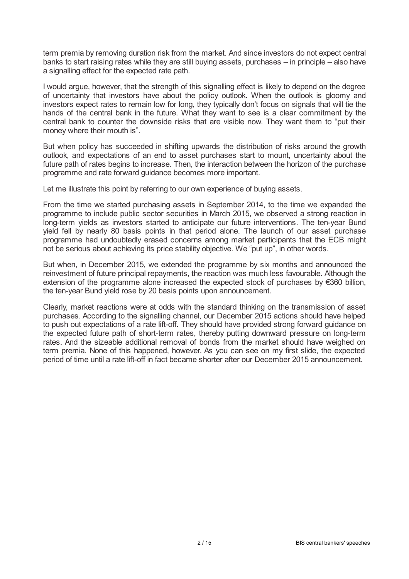term premia by removing duration risk from the market. And since investors do not expect central banks to start raising rates while they are still buying assets, purchases – in principle – also have a signalling effect for the expected rate path.

I would argue, however, that the strength of this signalling effect is likely to depend on the degree of uncertainty that investors have about the policy outlook. When the outlook is gloomy and investors expect rates to remain low for long, they typically don't focus on signals that will tie the hands of the central bank in the future. What they want to see is a clear commitment by the central bank to counter the downside risks that are visible now. They want them to "put their money where their mouth is".

But when policy has succeeded in shifting upwards the distribution of risks around the growth outlook, and expectations of an end to asset purchases start to mount, uncertainty about the future path of rates begins to increase. Then, the interaction between the horizon of the purchase programme and rate forward guidance becomes more important.

Let me illustrate this point by referring to our own experience of buying assets.

From the time we started purchasing assets in September 2014, to the time we expanded the programme to include public sector securities in March 2015, we observed a strong reaction in long-term yields as investors started to anticipate our future interventions. The ten-year Bund yield fell by nearly 80 basis points in that period alone. The launch of our asset purchase programme had undoubtedly erased concerns among market participants that the ECB might not be serious about achieving its price stability objective. We "put up", in other words.

But when, in December 2015, we extended the programme by six months and announced the reinvestment of future principal repayments, the reaction was much less favourable. Although the extension of the programme alone increased the expected stock of purchases by €360 billion, the ten-year Bund yield rose by 20 basis points upon announcement.

Clearly, market reactions were at odds with the standard thinking on the transmission of asset purchases. According to the signalling channel, our December 2015 actions should have helped to push out expectations of a rate lift-off. They should have provided strong forward guidance on the expected future path of short-term rates, thereby putting downward pressure on long-term rates. And the sizeable additional removal of bonds from the market should have weighed on term premia. None of this happened, however. As you can see on my first slide, the expected period of time until a rate lift-off in fact became shorter after our December 2015 announcement.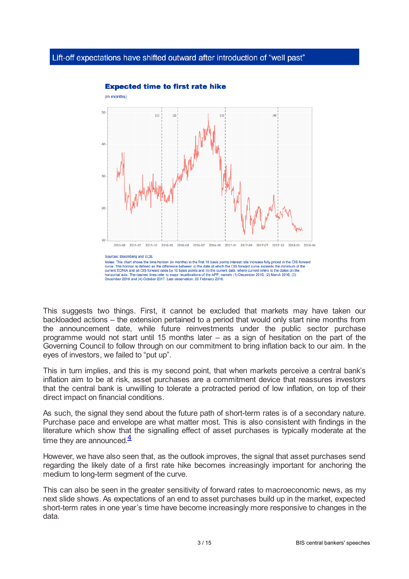

**Expected time to first rate hike** 

This suggests two things. First, it cannot be excluded that markets may have taken our backloaded actions – the extension pertained to a period that would only start nine months from the announcement date, while future reinvestments under the public sector purchase programme would not start until 15 months later – as a sign of hesitation on the part of the Governing Council to follow through on our commitment to bring inflation back to our aim. In the eyes of investors, we failed to "put up".

This in turn implies, and this is my second point, that when markets perceive a central bank's inflation aim to be at risk, asset purchases are a commitment device that reassures investors that the central bank is unwilling to tolerate a protracted period of low inflation, on top of their direct impact on financial conditions.

As such, the signal they send about the future path of short-term rates is of a secondary nature. Purchase pace and envelope are what matter most. This is also consistent with findings in the literature which show that the signalling effect of asset purchases is typically moderate at the time they are announced. $4/4$  $4/4$ 

<span id="page-2-0"></span>However, we have also seen that, as the outlook improves, the signal that asset purchases send regarding the likely date of a first rate hike becomes increasingly important for anchoring the medium to long-term segment of the curve.

This can also be seen in the greater sensitivity of forward rates to macroeconomic news, as my next slide shows. As expectations of an end to asset purchases build up in the market, expected short-term rates in one year's time have become increasingly more responsive to changes in the data.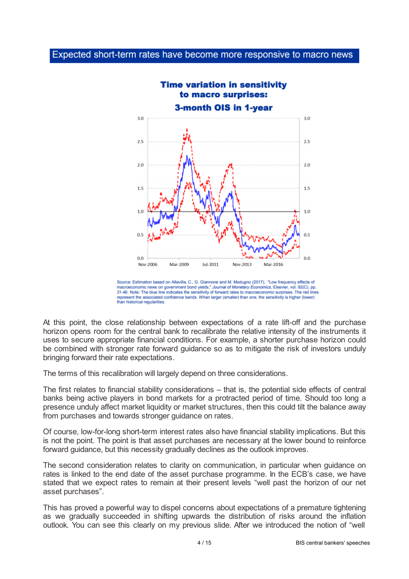

Source: Estimation based on Altavilla, C., G. Giannone and M. Modugno (2017), "Low frequency effects of macroeconomic news on government bond yields," Journal of Monetary Economics, Elsevier, vol. 92(C), pp. 31-46. Note: The blue line indicates the sensitivity of forward rates to macroeconomic surprises. The red lines represent the associated confidence bands. When larger (smaller) than one, the sensitivity is higher (lower) than historical regularities

At this point, the close relationship between expectations of a rate lift-off and the purchase horizon opens room for the central bank to recalibrate the relative intensity of the instruments it uses to secure appropriate financial conditions. For example, a shorter purchase horizon could be combined with stronger rate forward guidance so as to mitigate the risk of investors unduly bringing forward their rate expectations.

The terms of this recalibration will largely depend on three considerations.

The first relates to financial stability considerations – that is, the potential side effects of central banks being active players in bond markets for a protracted period of time. Should too long a presence unduly affect market liquidity or market structures, then this could tilt the balance away from purchases and towards stronger guidance on rates.

Of course, low-for-long short-term interest rates also have financial stability implications. But this is not the point. The point is that asset purchases are necessary at the lower bound to reinforce forward guidance, but this necessity gradually declines as the outlook improves.

The second consideration relates to clarity on communication, in particular when guidance on rates is linked to the end date of the asset purchase programme. In the ECB's case, we have stated that we expect rates to remain at their present levels "well past the horizon of our net asset purchases".

This has proved a powerful way to dispel concerns about expectations of a premature tightening as we gradually succeeded in shifting upwards the distribution of risks around the inflation outlook. You can see this clearly on my previous slide. After we introduced the notion of "well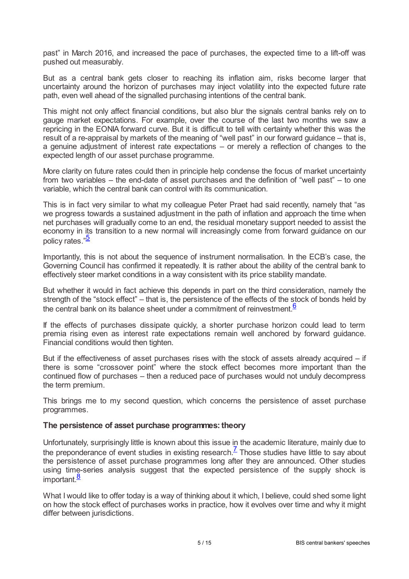past" in March 2016, and increased the pace of purchases, the expected time to a lift-off was pushed out measurably.

But as a central bank gets closer to reaching its inflation aim, risks become larger that uncertainty around the horizon of purchases may inject volatility into the expected future rate path, even well ahead of the signalled purchasing intentions of the central bank.

This might not only affect financial conditions, but also blur the signals central banks rely on to gauge market expectations. For example, over the course of the last two months we saw a repricing in the EONIA forward curve. But it is difficult to tell with certainty whether this was the result of a re-appraisal by markets of the meaning of "well past" in our forward guidance – that is, a genuine adjustment of interest rate expectations – or merely a reflection of changes to the expected length of our asset purchase programme.

More clarity on future rates could then in principle help condense the focus of market uncertainty from two variables – the end-date of asset purchases and the definition of "well past" – to one variable, which the central bank can control with its communication.

This is in fact very similar to what my colleague Peter Praet had said recently, namely that "as we progress towards a sustained adjustment in the path of inflation and approach the time when net purchases will gradually come to an end, the residual monetary support needed to assist the economy in its transition to a new normal will increasingly come from forward guidance on our policy rates."<sup>[5](#page-14-4)</sup>

<span id="page-4-0"></span>Importantly, this is not about the sequence of instrument normalisation. In the ECB's case, the Governing Council has confirmed it repeatedly. It is rather about the ability of the central bank to effectively steer market conditions in a way consistent with its price stability mandate.

But whether it would in fact achieve this depends in part on the third consideration, namely the strength of the "stock effect" – that is, the persistence of the effects of the stock of bonds held by the central bank on its balance sheet under a commitment of reinvestment.  $6$ 

<span id="page-4-1"></span>If the effects of purchases dissipate quickly, a shorter purchase horizon could lead to term premia rising even as interest rate expectations remain well anchored by forward guidance. Financial conditions would then tighten.

But if the effectiveness of asset purchases rises with the stock of assets already acquired – if there is some "crossover point" where the stock effect becomes more important than the continued flow of purchases – then a reduced pace of purchases would not unduly decompress the term premium.

This brings me to my second question, which concerns the persistence of asset purchase programmes.

## **The persistence of asset purchase programmes: theory**

<span id="page-4-2"></span>Unfortunately, surprisingly little is known about this issue in the academic literature, mainly due to the preponderance of event studies in existing research.<sup> $7$ </sup> Those studies have little to say about the persistence of asset purchase programmes long after they are announced. Other studies using time-series analysis suggest that the expected persistence of the supply shock is important.<sup>[8](#page-14-7)</sup>

<span id="page-4-3"></span>What I would like to offer today is a way of thinking about it which, I believe, could shed some light on how the stock effect of purchases works in practice, how it evolves over time and why it might differ between jurisdictions.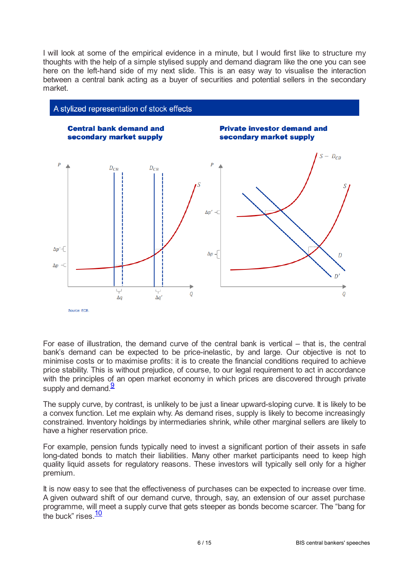I will look at some of the empirical evidence in a minute, but I would first like to structure my thoughts with the help of a simple stylised supply and demand diagram like the one you can see here on the left-hand side of my next slide. This is an easy way to visualise the interaction between a central bank acting as a buyer of securities and potential sellers in the secondary market.



For ease of illustration, the demand curve of the central bank is vertical – that is, the central bank's demand can be expected to be price-inelastic, by and large. Our objective is not to minimise costs or to maximise profits: it is to create the financial conditions required to achieve price stability. This is without prejudice, of course, to our legal requirement to act in accordance with the principles of an open market economy in which prices are discovered through private supply and demand.<sup>[9](#page-14-8)</sup>

<span id="page-5-0"></span>The supply curve, by contrast, is unlikely to be just a linear upward-sloping curve. It is likely to be a convex function. Let me explain why. As demand rises, supply is likely to become increasingly constrained. Inventory holdings by intermediaries shrink, while other marginal sellers are likely to have a higher reservation price.

For example, pension funds typically need to invest a significant portion of their assets in safe long-dated bonds to match their liabilities. Many other market participants need to keep high quality liquid assets for regulatory reasons. These investors will typically sell only for a higher premium.

<span id="page-5-1"></span>It is now easy to see that the effectiveness of purchases can be expected to increase over time. A given outward shift of our demand curve, through, say, an extension of our asset purchase programme, will meet a supply curve that gets steeper as bonds become scarcer. The "bang for the buck" rises. $\frac{10}{10}$  $\frac{10}{10}$  $\frac{10}{10}$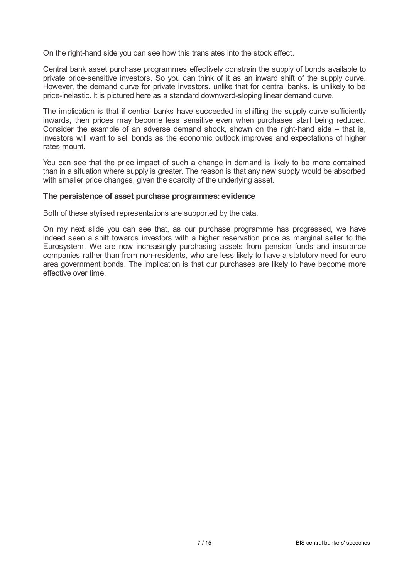On the right-hand side you can see how this translates into the stock effect.

Central bank asset purchase programmes effectively constrain the supply of bonds available to private price-sensitive investors. So you can think of it as an inward shift of the supply curve. However, the demand curve for private investors, unlike that for central banks, is unlikely to be price-inelastic. It is pictured here as a standard downward-sloping linear demand curve.

The implication is that if central banks have succeeded in shifting the supply curve sufficiently inwards, then prices may become less sensitive even when purchases start being reduced. Consider the example of an adverse demand shock, shown on the right-hand side – that is, investors will want to sell bonds as the economic outlook improves and expectations of higher rates mount.

You can see that the price impact of such a change in demand is likely to be more contained than in a situation where supply is greater. The reason is that any new supply would be absorbed with smaller price changes, given the scarcity of the underlying asset.

#### **The persistence of asset purchase programmes: evidence**

Both of these stylised representations are supported by the data.

On my next slide you can see that, as our purchase programme has progressed, we have indeed seen a shift towards investors with a higher reservation price as marginal seller to the Eurosystem. We are now increasingly purchasing assets from pension funds and insurance companies rather than from non-residents, who are less likely to have a statutory need for euro area government bonds. The implication is that our purchases are likely to have become more effective over time.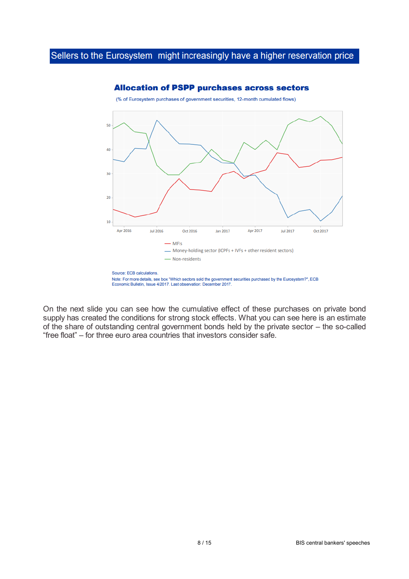

#### **Allocation of PSPP purchases across sectors**

On the next slide you can see how the cumulative effect of these purchases on private bond supply has created the conditions for strong stock effects. What you can see here is an estimate of the share of outstanding central government bonds held by the private sector – the so-called "free float" – for three euro area countries that investors consider safe.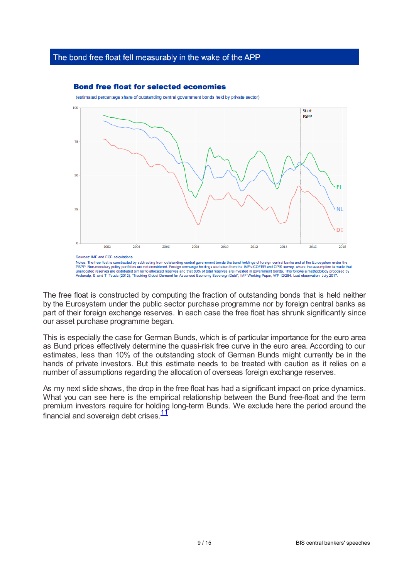## The bond free float fell measurably in the wake of the APP

#### **Bond free float for selected economies**

(estimated percentage share of outstanding central government bonds held by private sector)



The free float is constructed by computing the fraction of outstanding bonds that is held neither by the Eurosystem under the public sector purchase programme nor by foreign central banks as part of their foreign exchange reserves. In each case the free float has shrunk significantly since our asset purchase programme began.

This is especially the case for German Bunds, which is of particular importance for the euro area as Bund prices effectively determine the quasi-risk free curve in the euro area. According to our estimates, less than 10% of the outstanding stock of German Bunds might currently be in the hands of private investors. But this estimate needs to be treated with caution as it relies on a number of assumptions regarding the allocation of overseas foreign exchange reserves.

<span id="page-8-0"></span>As my next slide shows, the drop in the free float has had a significant impact on price dynamics. What you can see here is the empirical relationship between the Bund free-float and the term premium investors require for holding long-term Bunds. We exclude here the period around the financial and sovereign debt crises.<sup>[11](#page-14-10)</sup>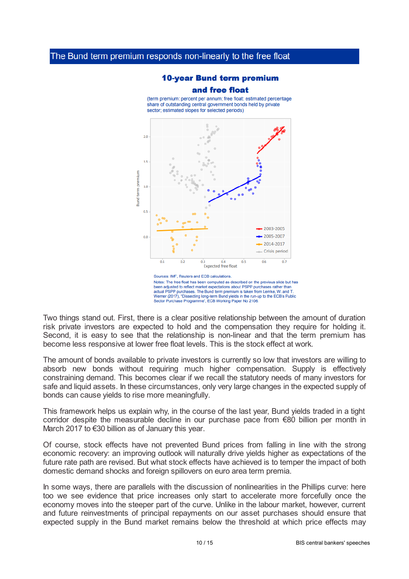# **10-year Bund term premium**

#### and free float

(term premium: percent per annum; free float: estimated percentage share of outstanding central government bonds held by private sector; estimated slopes for selected periods)



Notes: The free float has been computed as described on the previous slide but has been adjusted to reflect market expectations about PSPP purchases rather than actual PSPP purchases. The Bund term premium is taken from Lemke, W. and 1 Werner (2017), "Dissecting long-term Bund yields in the run-up to the ECB's Public ector Purchase Programme", ECB Working Paper No 2106.

Two things stand out. First, there is a clear positive relationship between the amount of duration risk private investors are expected to hold and the compensation they require for holding it. Second, it is easy to see that the relationship is non-linear and that the term premium has become less responsive at lower free float levels. This is the stock effect at work.

The amount of bonds available to private investors is currently so low that investors are willing to absorb new bonds without requiring much higher compensation. Supply is effectively constraining demand. This becomes clear if we recall the statutory needs of many investors for safe and liquid assets. In these circumstances, only very large changes in the expected supply of bonds can cause yields to rise more meaningfully.

This framework helps us explain why, in the course of the last year, Bund yields traded in a tight corridor despite the measurable decline in our purchase pace from €80 billion per month in March 2017 to €30 billion as of January this year.

Of course, stock effects have not prevented Bund prices from falling in line with the strong economic recovery: an improving outlook will naturally drive yields higher as expectations of the future rate path are revised. But what stock effects have achieved is to temper the impact of both domestic demand shocks and foreign spillovers on euro area term premia.

In some ways, there are parallels with the discussion of nonlinearities in the Phillips curve: here too we see evidence that price increases only start to accelerate more forcefully once the economy moves into the steeper part of the curve. Unlike in the labour market, however, current and future reinvestments of principal repayments on our asset purchases should ensure that expected supply in the Bund market remains below the threshold at which price effects may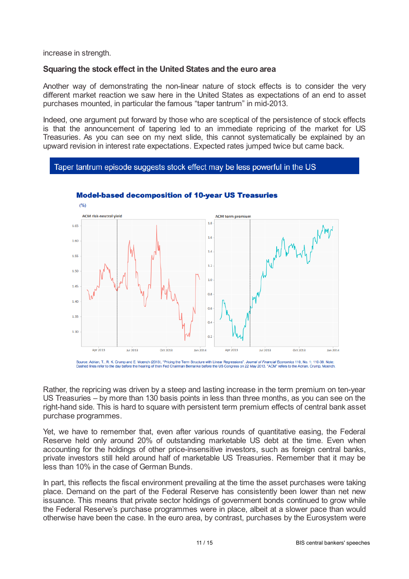increase in strength.

## **Squaring the stock effect in the United States and the euro area**

Another way of demonstrating the non-linear nature of stock effects is to consider the very different market reaction we saw here in the United States as expectations of an end to asset purchases mounted, in particular the famous "taper tantrum" in mid-2013.

Indeed, one argument put forward by those who are sceptical of the persistence of stock effects is that the announcement of tapering led to an immediate repricing of the market for US Treasuries. As you can see on my next slide, this cannot systematically be explained by an upward revision in interest rate expectations. Expected rates jumped twice but came back.

#### Taper tantrum episode suggests stock effect may be less powerful in the US



#### **Model-based decomposition of 10-vear US Treasuries**

Source: Adrian, T., R. K. Crump and E. Moench (2013). "Pricing the Term Structure with Linear Regressions", Journal of Financial Economics 110, No. 1: 110-38. Note er to the day before the hearing of then Fed Chairman Bernanke before the US Congress on 22 May 2013. "ACM" refers to the Adrian, Crump, Moench.

Rather, the repricing was driven by a steep and lasting increase in the term premium on ten-year US Treasuries – by more than 130 basis points in less than three months, as you can see on the right-hand side. This is hard to square with persistent term premium effects of central bank asset purchase programmes.

Yet, we have to remember that, even after various rounds of quantitative easing, the Federal Reserve held only around 20% of outstanding marketable US debt at the time. Even when accounting for the holdings of other price-insensitive investors, such as foreign central banks, private investors still held around half of marketable US Treasuries. Remember that it may be less than 10% in the case of German Bunds.

In part, this reflects the fiscal environment prevailing at the time the asset purchases were taking place. Demand on the part of the Federal Reserve has consistently been lower than net new issuance. This means that private sector holdings of government bonds continued to grow while the Federal Reserve's purchase programmes were in place, albeit at a slower pace than would otherwise have been the case. In the euro area, by contrast, purchases by the Eurosystem were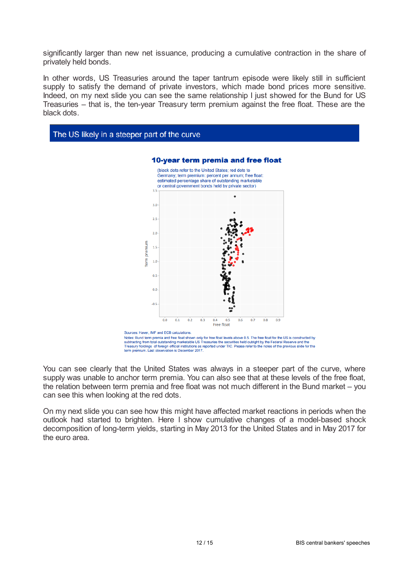significantly larger than new net issuance, producing a cumulative contraction in the share of privately held bonds.

In other words, US Treasuries around the taper tantrum episode were likely still in sufficient supply to satisfy the demand of private investors, which made bond prices more sensitive. Indeed, on my next slide you can see the same relationship I just showed for the Bund for US Treasuries – that is, the ten-year Treasury term premium against the free float. These are the black dots.



Sources: The premis and free float shown only for free float levels above 0.5. The free float for the US is constructed by<br>subtracting from total outstanding marketable US Treasuries the securities held outright by the Fed term premium. Last observation is December 2017

You can see clearly that the United States was always in a steeper part of the curve, where supply was unable to anchor term premia. You can also see that at these levels of the free float, the relation between term premia and free float was not much different in the Bund market – you can see this when looking at the red dots.

On my next slide you can see how this might have affected market reactions in periods when the outlook had started to brighten. Here I show cumulative changes of a model-based shock decomposition of long-term yields, starting in May 2013 for the United States and in May 2017 for the euro area.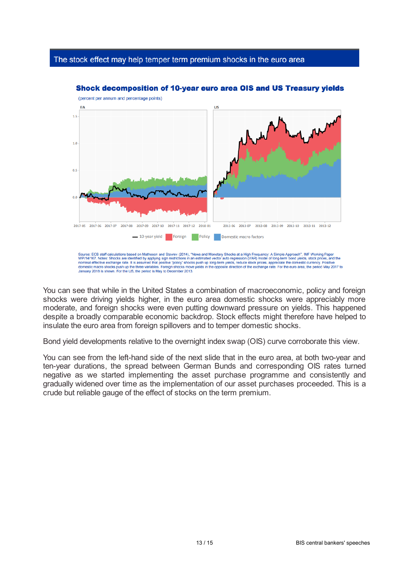## The stock effect may help temper term premium shocks in the euro area



#### Shock decomposition of 10-year euro area OIS and US Treasury vields

Source: ECB staff calculations based on Matheson and Stavrev (2014), "News and Monetary Shocks at a High Frequency: A Simple Approach", IMF Working Paper<br>WP/14/167. Notes: Shocks are identified by applying sign restriction

You can see that while in the United States a combination of macroeconomic, policy and foreign shocks were driving yields higher, in the euro area domestic shocks were appreciably more moderate, and foreign shocks were even putting downward pressure on yields. This happened despite a broadly comparable economic backdrop. Stock effects might therefore have helped to insulate the euro area from foreign spillovers and to temper domestic shocks.

Bond yield developments relative to the overnight index swap (OIS) curve corroborate this view.

You can see from the left-hand side of the next slide that in the euro area, at both two-year and ten-year durations, the spread between German Bunds and corresponding OIS rates turned negative as we started implementing the asset purchase programme and consistently and gradually widened over time as the implementation of our asset purchases proceeded. This is a crude but reliable gauge of the effect of stocks on the term premium.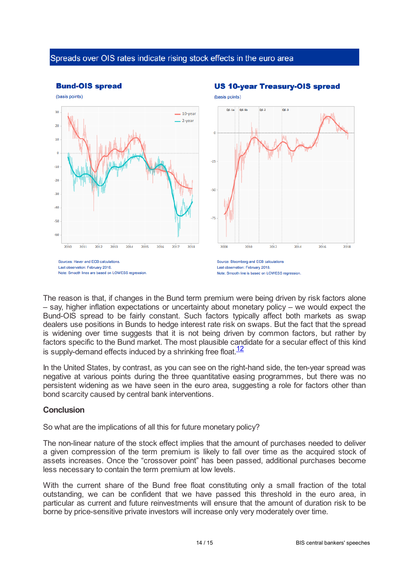## Spreads over OIS rates indicate rising stock effects in the euro area



The reason is that, if changes in the Bund term premium were being driven by risk factors alone – say, higher inflation expectations or uncertainty about monetary policy – we would expect the Bund-OIS spread to be fairly constant. Such factors typically affect both markets as swap dealers use positions in Bunds to hedge interest rate risk on swaps. But the fact that the spread is widening over time suggests that it is not being driven by common factors, but rather by factors specific to the Bund market. The most plausible candidate for a secular effect of this kind is supply-demand effects induced by a shrinking free float. $\frac{12}{ }$  $\frac{12}{ }$  $\frac{12}{ }$ 

<span id="page-13-0"></span>In the United States, by contrast, as you can see on the right-hand side, the ten-year spread was negative at various points during the three quantitative easing programmes, but there was no persistent widening as we have seen in the euro area, suggesting a role for factors other than bond scarcity caused by central bank interventions.

## **Conclusion**

So what are the implications of all this for future monetary policy?

The non-linear nature of the stock effect implies that the amount of purchases needed to deliver a given compression of the term premium is likely to fall over time as the acquired stock of assets increases. Once the "crossover point" has been passed, additional purchases become less necessary to contain the term premium at low levels.

With the current share of the Bund free float constituting only a small fraction of the total outstanding, we can be confident that we have passed this threshold in the euro area, in particular as current and future reinvestments will ensure that the amount of duration risk to be borne by price-sensitive private investors will increase only very moderately over time.